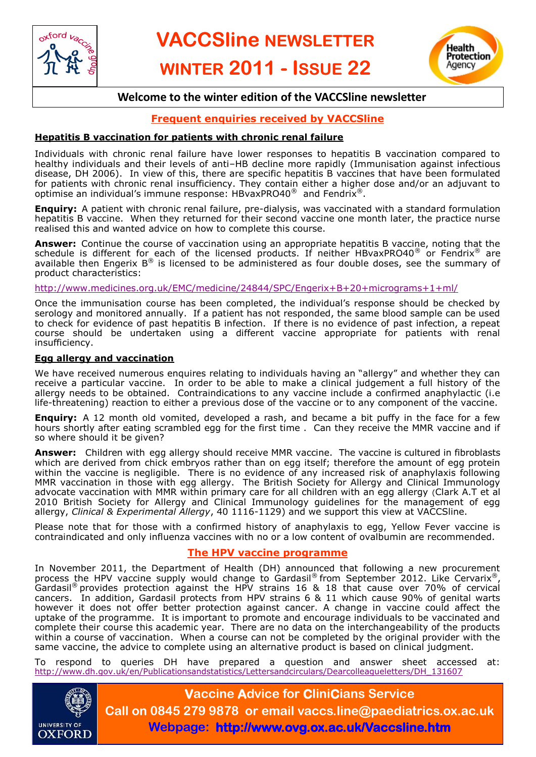



## **Welcome to the winter edition of the VACCSline newsletter**

## **Frequent enquiries received by VACCSline**

#### **Hepatitis B vaccination for patients with chronic renal failure**

Individuals with chronic renal failure have lower responses to hepatitis B vaccination compared to healthy individuals and their levels of anti–HB decline more rapidly (Immunisation against infectious disease, DH 2006). In view of this, there are specific hepatitis B vaccines that have been formulated for patients with chronic renal insufficiency. They contain either a higher dose and/or an adjuvant to optimise an individual's immune response: HBvaxPRO40® and Fendrix®.

**Enquiry:** A patient with chronic renal failure, pre-dialysis, was vaccinated with a standard formulation hepatitis B vaccine. When they returned for their second vaccine one month later, the practice nurse realised this and wanted advice on how to complete this course.

**Answer:** Continue the course of vaccination using an appropriate hepatitis B vaccine, noting that the schedule is different for each of the licensed products. If neither HBvaxPRO40<sup>®</sup> or Fendrix<sup>®</sup> are available then Engerix  $B^{\circledast}$  is licensed to be administered as four double doses, see the summary of product characteristics:

<http://www.medicines.org.uk/EMC/medicine/24844/SPC/Engerix+B+20+micrograms+1+ml/>

Once the immunisation course has been completed, the individual's response should be checked by serology and monitored annually. If a patient has not responded, the same blood sample can be used to check for evidence of past hepatitis B infection. If there is no evidence of past infection, a repeat course should be undertaken using a different vaccine appropriate for patients with renal insufficiency.

#### **Egg allergy and vaccination**

We have received numerous enquires relating to individuals having an "allergy" and whether they can receive a particular vaccine. In order to be able to make a clinical judgement a full history of the allergy needs to be obtained. Contraindications to any vaccine include a confirmed anaphylactic (i.e life-threatening) reaction to either a previous dose of the vaccine or to any component of the vaccine.

**Enquiry:** A 12 month old vomited, developed a rash, and became a bit puffy in the face for a few hours shortly after eating scrambled egg for the first time . Can they receive the MMR vaccine and if so where should it be given?

**Answer:** Children with egg allergy should receive MMR vaccine. The vaccine is cultured in fibroblasts which are derived from chick embryos rather than on egg itself; therefore the amount of egg protein within the vaccine is negligible. There is no evidence of any increased risk of anaphylaxis following MMR vaccination in those with egg allergy. The British Society for Allergy and Clinical Immunology advocate vaccination with MMR within primary care for all children with an egg allergy (Clark A.T et al 2010 British Society for Allergy and Clinical Immunology guidelines for the management of egg allergy, *Clinical & Experimental Allergy*, 40 1116-1129) and we support this view at VACCSline.

Please note that for those with a confirmed history of anaphylaxis to egg, Yellow Fever vaccine is contraindicated and only influenza vaccines with no or a low content of ovalbumin are recommended.

### **The HPV vaccine programme**

In November 2011, the Department of Health (DH) announced that following a new procurement process the HPV vaccine supply would change to Gardasil® from September 2012. Like Cervarix® Gardasil<sup>®</sup> provides protection against the HPV strains 16 & 18 that cause over 70% of cervical cancers. In addition, Gardasil protects from HPV strains 6 & 11 which cause 90% of genital warts however it does not offer better protection against cancer. A change in vaccine could affect the uptake of the programme. It is important to promote and encourage individuals to be vaccinated and complete their course this academic year. There are no data on the interchangeability of the products within a course of vaccination. When a course can not be completed by the original provider with the same vaccine, the advice to complete using an alternative product is based on clinical judgment.

To respond to queries DH have prepared a question and answer sheet accessed at: [http://www.dh.gov.uk/en/Publicationsandstatistics/Lettersandcirculars/Dearcolleagueletters/DH\\_131607](http://www.dh.gov.uk/en/Publicationsandstatistics/Lettersandcirculars/Dearcolleagueletters/DH_131607)



**Vaccine Advice for CliniCians Service Call on 0845 279 9878 or email vaccs.line@paediatrics.ox.ac.uk Webpage: http://www.ovg.ox.ac.uk/Vaccsline.htm**